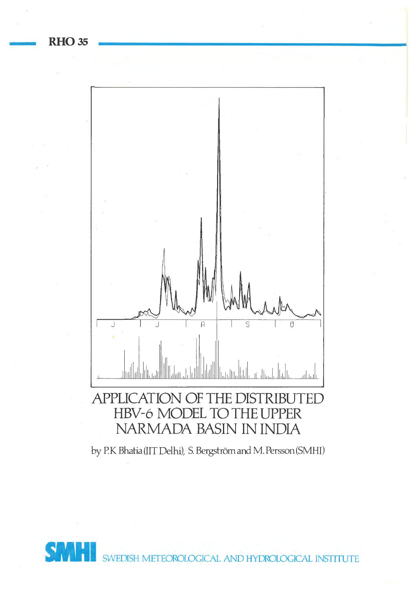**RH035** 



by PK Bhatia (IIT Delhi), S. Bergström and M. Persson (SMHI)

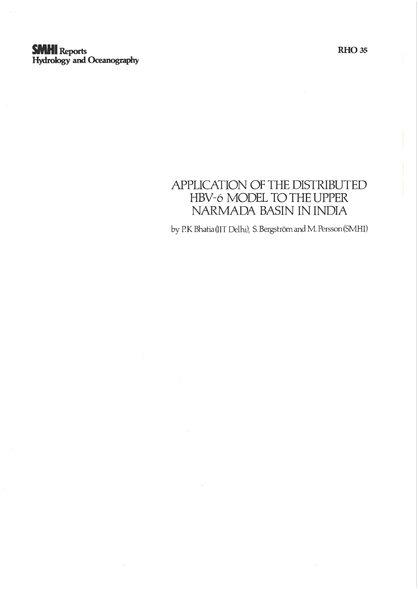# APPLICATION OF THE DISTRIBUTED HBV-6 MODEL TO THE UPPER NARMADA BASIN IN INDIA

by PK Bhatia (IIT Delhi), S. Bergström and M. Persson (SMHI)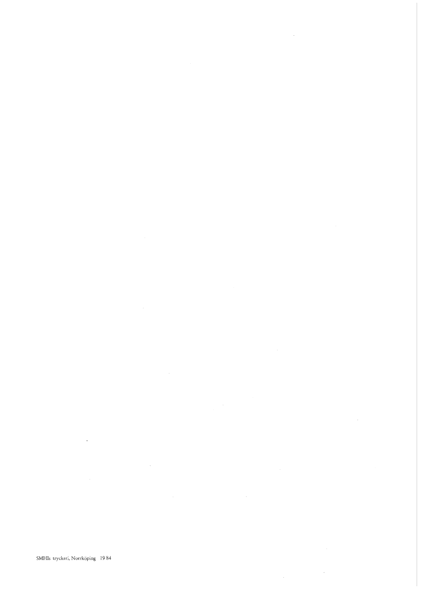$\overline{\phantom{a}}$ 

 $\sim 10^6$ 

 $\sim$   $\sim$ 

 $\sim$ 

 $\bar{\mathcal{A}}$ 

 $\bar{z}$ 

 $\bar{z}$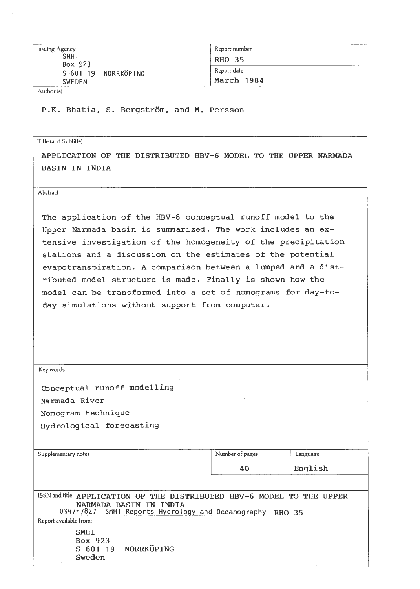| <b>Issuing Agency</b>       | Report number |
|-----------------------------|---------------|
| SMH <sub>1</sub><br>Box 923 | <b>RHO 35</b> |
| S-601 19 NORRKÖPING         | Report date   |
| <b>SWEDEN</b>               | March 1984    |
|                             |               |

Author(s)

P.K. Bhatia, S. Bergström, and **M.** Persson

Title (and Subtitle)

APPLICATION OF THE DISTRIBUTED HBV-6 MODEL TO THE UPPER **NARMADA BASIN IN INDIA** 

Abstract

The application of the HBV-6 conceptual runoff model to the Upper Narmada basin is summarized. The work includes an extensive investigation of the homogeneity of the precipitation stations and a discussion on the estimates of the potential evapotranspiration. A comparison between a lumped and a distributed model structure is made. Finally is shown how the model can be transformed into aset of nomograms for day-today simulations without support from computer.

Keywords

Cbnceptual runoff modelling Narmada River Nomogram technique Hydrological forecasting

Supplementary notes and the state of pages and the state of pages and the Language in the Supplementary notes in the state of pages and the Language in the Supplementary notes in the Supplementary notes in the Supplementar **40 English** 

ISSN and title **APPLICATION OF THE DISTRIBUTED HBV-6 MODEL TO THE UPPER NARMADA BASIN IN INDIA**  0347-7827 SMHI Reports Hydrology and Oceanography RHO 35

Report available from:

**SMHI Box 923 S-601 19 NORRKÖPING**  Sweden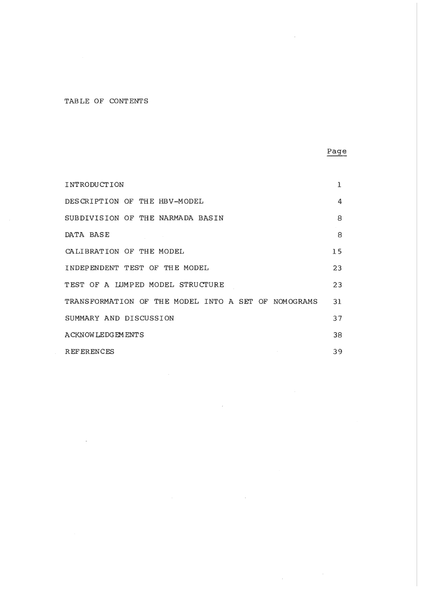### TABLE OF CONTENTS

### Page

 $\bar{z}$ 

| <b>INTRODUCTION</b>                                 | 1  |
|-----------------------------------------------------|----|
| DESCRIPTION OF THE HBV-MODEL                        | 4  |
| SUBDIVISION OF THE NARMADA BASIN                    | 8  |
| DATA BASE                                           | 8  |
| CALIBRATION OF THE MODEL                            | 15 |
| INDEPENDENT TEST OF THE MODEL                       | 23 |
| TEST OF A IUMPED MODEL STRUCTURE                    | 23 |
| TRANSFORMATION OF THE MODEL INTO A SET OF NOMOGRAMS | 31 |
| SUMMARY AND DISCUSSION                              | 37 |
| A CKNOW LEDGEMENTS                                  | 38 |
| <b>REFERENCES</b>                                   | 39 |

 $\bar{z}$ 

 $\bar{\mathcal{A}}$ 

 $\sim$   $\sim$ 

 $\bar{z}$ 

 $\mathcal{L}_{\rm{max}}$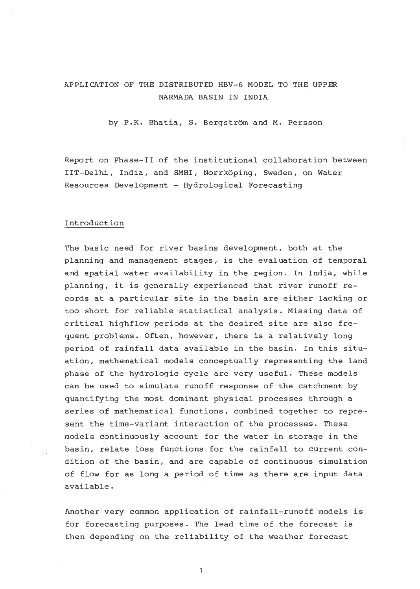### APPLICATION OF THE DISTRIBUTED HBV-6 MODEL TO THE UPPER NARMADA BASIN IN INDIA

by P.K. Bhatia, S. Bergström and M. Persson

Report on Phase-II of the institutional collaboration between IIT-Delhi, India, and SMHI, Norrköping, Sweden, on Water Resources Development - Hydrological Forecasting

#### Introduction

The basic need for river basins development, both at the planning and management stages, is the evaluation of temporal and spatial water availability in the region. In India, while planning, it is generally experienced that river runoff records at a particular site in the basin are either lacking or too short for reliable statistical analysis. Missing data of critical highflow periods at the desired site are also frequent problems. Often, however, there is a relatively long period of rainfall data available in the basin. In this situation, mathematical models conceptually representing the land phase of the hydrologic cycle are very useful. These models can be used to simulate runoff response of the catchment by quantifying the most dominant physical processes through a series of mathematical functions, combined together to represent the time-variant interaction of the processes. These models continuously account for the water in storage in the basin, relate loss functions for the rainfall to current condition of the basin, and are capable of continuous simulation of flow for as long a period of time as there are input data available.

Another very common application of rainfall-runoff models is for forecasting purposes. The lead time of the forecast is then depending on the reliability of the weather forecast

 $\mathbf{1}$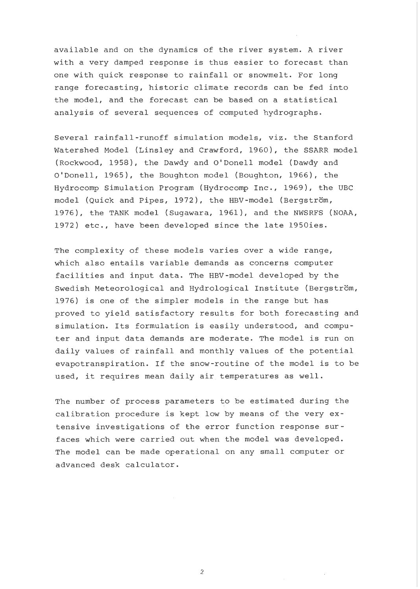available and on the dynamics of the river system. A river with a very damped response is thus easier to forecast than one with quick response to rainfall or snowmelt. For long range forecasting, historie climate records can be fed into the model, and the forecast can be based on a statistical analysis of several sequences of computed hydrographs.

Several rainfall-runoff simulation models, viz. the Stanford Watershed Model (Linsley and Crawford, 1960), the SSARR model (Rockwood, 1958), the Dawdy and O'Donell model (Dawdy and O'Donell, 1965), the Boughton model (Boughton, 1966), the Hydrocomp Simulation Program (Hydrocomp Inc., 1969) , the UBC model (Quick and Pipes, 1972) , the HBV-model (Bergström, 1976), the TANK model (Sugawara, 1961), and the NWSRFS (NOAA, 1972) etc. , have been developed since the late 1950ies.

The complexity of these models varies over a wide range, which also entails variable demands as concerns computer facilities and input data. The HBV-model developed by the Swedish Meteorological and Hydrological Institute (Bergström, 1976) is one of the simpler models in the range but has proved to yield satisfactory results for both forecasting and simulation. Its formulation is easily understood, and computer and input data demands are moderate. The model is run on daily values of rainfall and monthly values of the potential evapotranspiration. If the snow-routine of the model is to be used, it requires mean daily air temperatures as well.

The number of process parameters to be estimated during the calibration procedure is kept low by means of the very extensive investigations of the error function response surfaces which were carried out when the model was developed. The model can be made operational on any small computer or advanced desk calculator.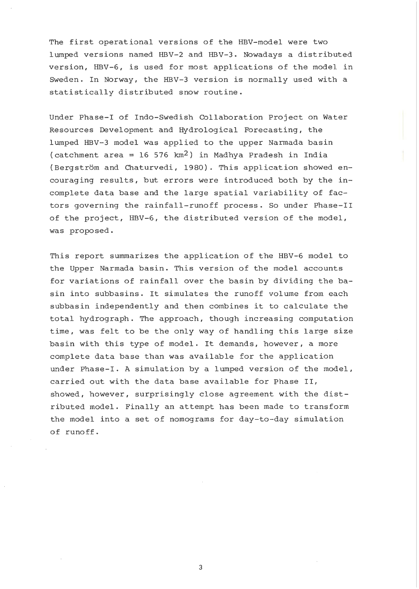The first operational versions of the HBV-model were two lumped versions named HBV-2 and HBV-3. Nowadays a distributed version, HBV-6, is used for most applications of the model in Sweden. In Norway, the HBV-3 version is normally used with a statistically distributed snow routine.

Under Phase-I of Indo-Swedish Collaboration Project on Water Resources Development and Hydrological Forecasting, the lumped HBV-3 model was applied to the upper Narmada basin (catchment area = 16 576 km<sup>2</sup>) in Madhya Pradesh in India {Bergström and Chaturvedi, 1980). This application showed encouraging results, but errors were introduced both by the incomplete data base and the large spatial variability of factors governing the rainfall-runoff process. So under Phase-II of the project, HBV-6, the distributed version of the model, was proposed.

This report summarizes the application of the HBV-6 model to the Upper Narmada basin. This version of the model accounts for variations of rainfall over the basin by dividing the basin into subbasins. It simulates the runoff volume from each subbasin independently and then combines it to calculate the total hydrograph. The approach, though increasing computation time, was felt to be the only way of handling this large size basin with this type of model. It demands, however, a more complete data base than was available for the application under Phase-I. A simulation by a lumped version of the model, carried out with the data base available for Phase II, showed, however, surprisingly close agreement with the distributed model. Finally an attempt has been made to transform the model into a set of nomograms for day-to-day simulation of runoff.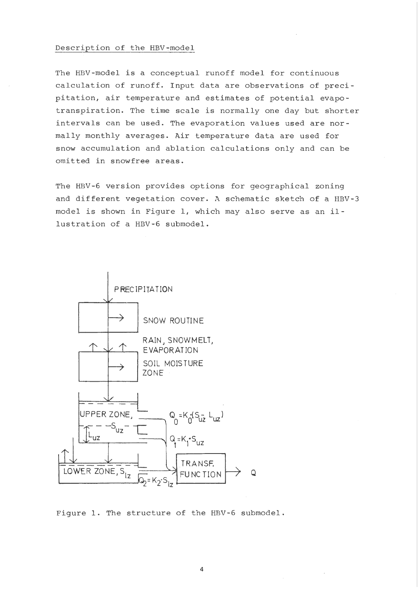#### Description of the HBV~model

The HBV-model is a conceptual runoff model for continuous calculation of runoff. Input data are observations of precipitation, air temperature and estimates of potential evapotranspiration. The time scale is normally one day but shorter intervals can be used. The evaporation values used are normally monthly averages. Air temperature data are used for snow accumulation and ablation calculations only and can be omitted in snowfree areas.

The HBV-6 version provides options for geographical zoning and different vegetation cover. A schematic sketch of a HBV-3 model is shown in Figure 1, which may also serve as an illustration of a HBV-6 submodel .



Figure 1. The structure of the HBV-6 submodel.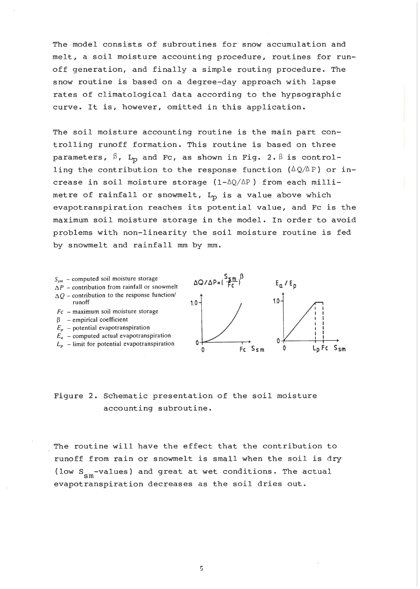The model consists of subroutines for snow accumulation and melt, a soil moisture accounting procedure, routines for runoff generation, and finally a simple routing procedure. The snow routine is based on a degree-day approach with lapse rates of climatological data according to the hypsographic curve. It is, however, omitted in this application.

The soil moisture accounting routine is the main part controlling runoff formation. This routine is based on three parameters,  $\beta$ , L<sub>p</sub> and Fc, as shown in Fig. 2.  $\beta$  is controlling the contribution to the response function ( $\Delta Q/\Delta P$ ) or increase in soil moisture storage ( $1-\Delta Q/\Delta P$ ) from each millimetre of rainfall or snowmelt,  $L_p$  is a value above which evapotranspiration reaches its potential value, and Fe is the maximum soil moisture storage in the model. In order to avoid problems with non-linearity the soil moisture routine is fed by snowmelt and rainfall mm by mm.



## Figure 2. Schematic presentation of the soil moisture accounting subroutine.

The routine will have the effect that the contribution to runoff from rain or snowmelt is small when the soil is dry (low  $S_{\rm sm}$ -values) and great at wet conditions. The actual evapotranspiration decreases as the soil dries out.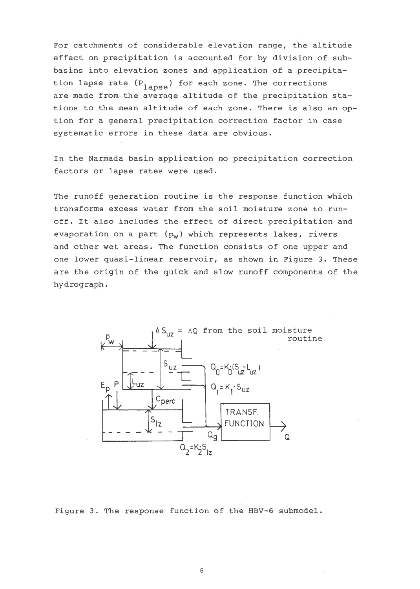For catchments of considerable elevation range, the altitude effect on precipitation is accounted for by division of subbasins into elevation zones and application of a precipitation lapse rate (P<sub>lapse</sub>) for each zone. The corrections are made from the average altitude of the precipitation stations to the mean altitude of each zone. There is also an option fora general precipitation correction factor in case systematic errors in these data are obvious.

In the Narmada basin application no precipitation correction factors or lapse rates were used.

The runoff generation routine is the response function which transforms excess water from the soil moisture zone to runoff. It also includes the effect of direct precipitation and evaporation on a part  $(p_w)$  which represents lakes, rivers and other wet areas. The function consists of one upper and one lower quasi-linear reservoir, as shown in Figure 3. These are the origin of the quick and slow runoff components of the hydrograph.



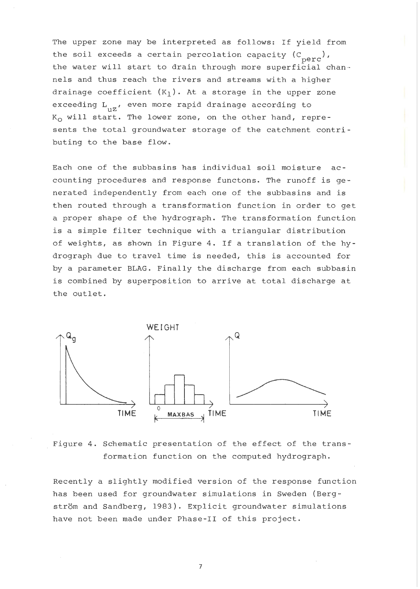The upper zone may be interpreted as follows: If yield from the soil exceeds a certain percolation capacity  $(c_{perc})$ , the water will start to drain through more superficial channels and thus reach the rivers and streams with a higher drainage coefficient  $(K_1)$ . At a storage in the upper zone exceeding L<sub>uz</sub>, even more rapid drainage according to  $K_0$  will start. The lower zone, on the other hand, represents the total groundwater storage of the catchment contributing to the base flow.

Each one of the subbasins has individual soil moisture accounting procedures and response functons. The runoff is generated independently from each one of the subbasins and is then routed through a transformation function in order to get a proper shape of the hydrograph. The transformation function isa simple filter technique with a triangular distribution of weights, as shown in Figure 4. If a translation of the hydrograph due to travel time is needed, this is accounted for by a parameter BLAG. Finally the discharge from each subbasin is combined by superposition to arrive at total discharge at the outlet.



Figure 4. Schematic presentation of the effect of the transformation function on the computed hydrograph.

Recently a slightly modified version of the response function has been used for groundwater simulations in Sweden (Bergström and Sandberg, 1983). Explicit groundwater simulations have not been made under Phase-II of this project.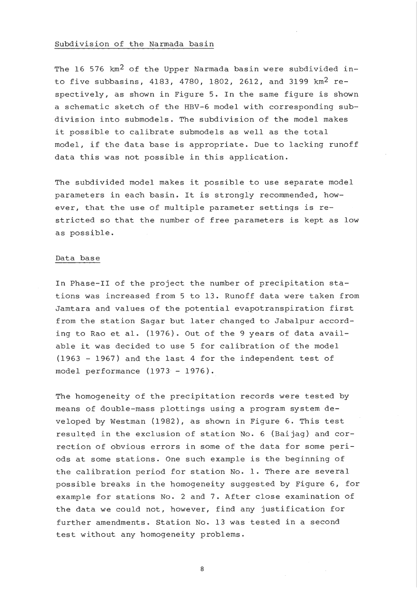#### Subdivision of the Narmada basin

The 16 576  $km^2$  of the Upper Narmada basin were subdivided into five subbasins, 4183, 4780, 1802, 2612, and 3199 km2 respectively, as shown in Figure 5. In the same figure is shown a schematic sketch of the HBV-6 model with corresponding subdivision into submodels. The subdivision of the model makes it possible to calibrate submodels as well as the total model, if the data base is appropriate. Due to lacking runoff data this was not possible in this application.

The subdivided model makes it possible to use separate model parameters in each basin. It is strongly recommended, however, that the use of multiple parameter settings is restricted so that the number of free parameters is kept as low as possible.

#### Data base

In Phase-II of the project the number of precipitation stations was increased from 5 to 13. Runoff data were taken from Jamtara and values of the potential evapotranspiration first from the station Sagar but later changed to Jabalpur according to Rao et al. (1976). 0ut of the 9 years of data available it was decided to use 5 for calibration of the model (1963 - 1967) and the last 4 for the independent test of model performance (1973 - 1976).

The homogeneity of the precipitation records were tested by means of double-mass plottings using a program system developed by Westman (1982), as shown in Figure 6. This test resulted in the exclusion of station No. 6 (Baijag) and correction of obvious errors in some of the data for some periods at some stations. 0ne such example is the beginning of the calibration period for station No. 1. There are several possible breaks in the homogeneity suggested by Figure 6, for example for stations No. 2 and 7. After close examination of the data we could not, however, find any justification for further amendments. Station No. 13 was tested in a second test without any homogeneity problems.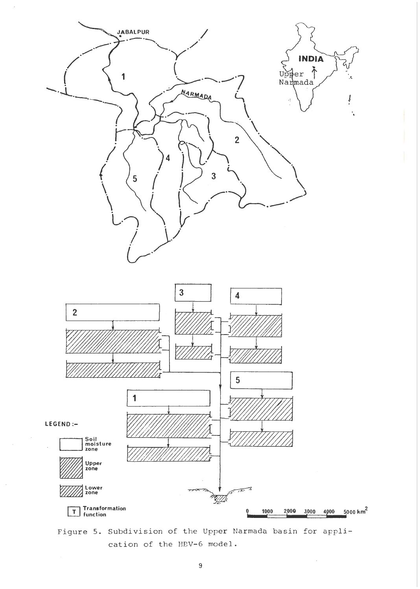



 $\hat{\mathcal{A}}$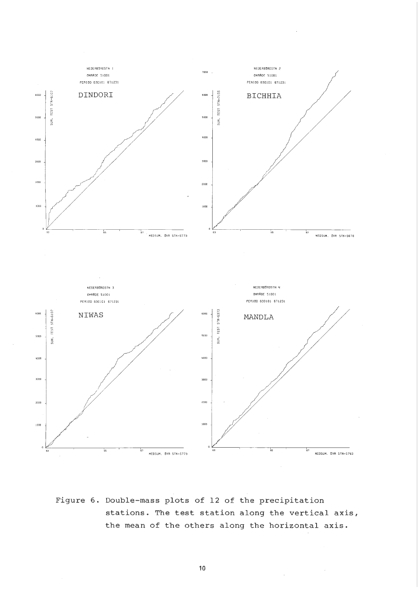

Figure 6. Double-mass plots of 12 of the precipitation stations. The test station along the vertical axis, the mean of the others along the horizontal axis.

 $\bar{z}$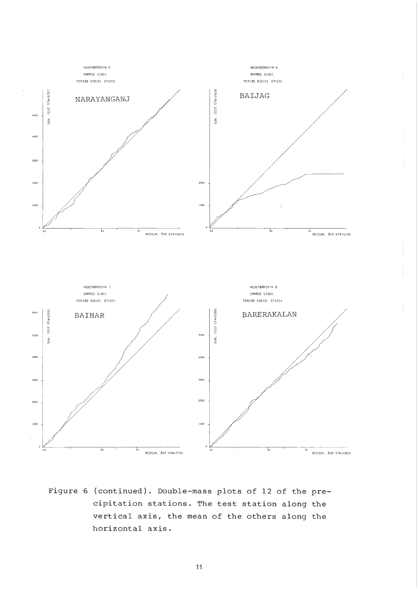

Figure 6 (continued). Double-mass plots of 12 of the precipitation stations. The test station along the vertical axis, the mean of the others along the horizontal axis.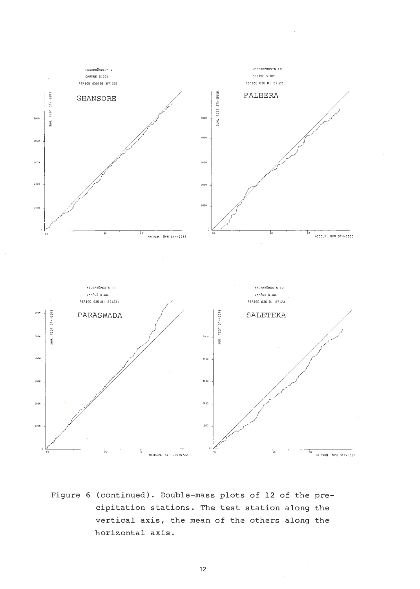

Figure 6 (continued). Double-mass plots of 12 of the precipitation stations. The test station along the vertical axis, the mean of the others along the horizontal axis.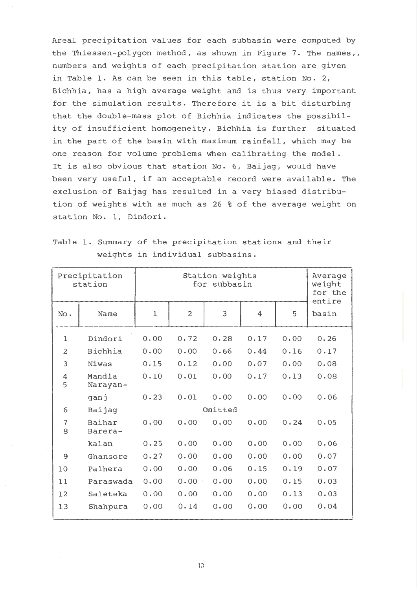Areal precipitation values for each subbasin were computed by the Thiessen-polygon method, as shown in Figure 7. The names,, numbers and weights of each precipitation station are given in Table 1. As can be seen in this table, station No. 2, Bichhia, has a high average weight and is thus very important for the simulation results. Therefore it is a bit disturbing that the double-mass plot of Bichhia indicates the possibility of insufficient homogeneity. Bichhia is further situated in the part of the basin with maximum rainfall, which may be one reason for volume problems when calibrating the model. It is also obvious that station No. 6, Baijag, would have been very useful, if an acceptable record were available. The exclusion of Baijag has resulted in a very biased distribution of weights with as much as 26 % of the average weight on station No. 1, Dindori.

Table 1. Summary of the precipitation stations and their weights in individual subbasins.

|                | Precipitation<br>station | Station weights<br>for subbasin |                |         |      |      | Average<br>weight<br>for the<br>entire |
|----------------|--------------------------|---------------------------------|----------------|---------|------|------|----------------------------------------|
| No.            | Name                     | 1                               | $\overline{2}$ | 3       | 4    | 5    | basin                                  |
| 1              | Dindori                  | 0.00                            | 0.72           | 0.28    | 0.17 | 0.00 | 0.26                                   |
| $\overline{2}$ | Bichhia                  | 0.00                            | 0.00           | 0.66    | 0.44 | 0.16 | 0.17                                   |
| 3              | Niwas                    | 0.15                            | 0.12           | 0.00    | 0.07 | 0.00 | 0.08                                   |
| 4<br>5         | Mandla<br>Narayan-       | 0.10                            | 0.01           | 0.00    | 0.17 | 0.13 | 0.08                                   |
|                | ganj                     | 0.23                            | 0.01           | 0.00    | 0.00 | 0.00 | 0.06                                   |
| 6              | Baijag                   |                                 |                | Omitted |      |      |                                        |
| 7<br>8         | Baihar<br>Barera-        | 0.00                            | 0.00           | 0.00    | 0.00 | 0.24 | 0.05                                   |
|                | kalan                    | 0.25                            | 0.00           | 0.00    | 0.00 | 0.00 | 0.06                                   |
| 9              | Ghansore                 | 0.27                            | 0.00           | 0.00    | 0.00 | 0.00 | 0.07                                   |
| 10             | Palhera                  | 0.00                            | 0.00           | 0.06    | 0.15 | 0.19 | 0.07                                   |
| 11             | Paraswada                | 0.00                            | 0.00           | 0.00    | 0.00 | 0.15 | 0.03                                   |
| 12             | Saleteka                 | 0.00                            | 0.00           | 0.00    | 0.00 | 0.13 | 0.03                                   |
| 13             | Shahpura                 | 0.00                            | 0.14           | 0.00    | 0.00 | 0.00 | 0.04                                   |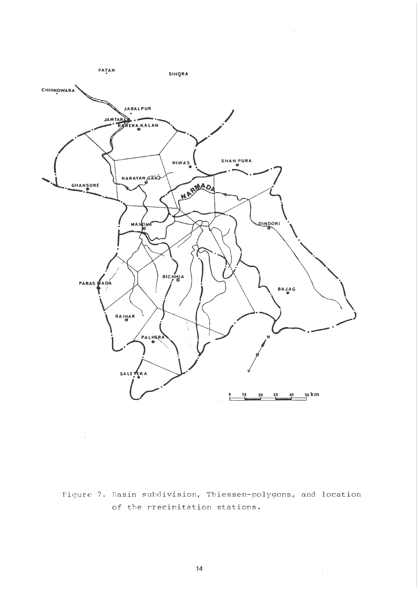

Figure 7. Basin subdivision, Thiessen-polygons, and location of the precipitation stations.

 $\sim$ 

 $\mathcal{L}_{\text{max}}$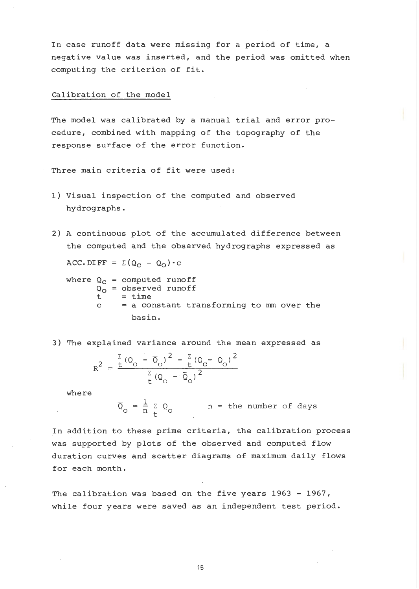In case runoff data were missing for a period of time, a negative value was inserted, and the period was omitted when computing the criterion of fit.

#### Calibration of the model

The model was calibrated by a manual trial and error procedure, combined with mapping of the topography of the response surface of the error function.

Three main criteria of fit were used:

- 1) Visual inspection of the computed and observed hydrographs.
- 2) A continuous plot of the accumulated difference between the computed and the observed hydrographs expressed as

ACC. DIFF =  $\Sigma(Q_C - Q_O) \cdot c$ 

where  $Q_C$  = computed runoff  $Q_{\odot}$  = observed runoff t  $\sim$  $=$  time = a constant transforming to mm over the basin.

3) The explained variance around the mean expressed as

$$
R^{2} = \frac{\frac{\Sigma (Q_{o} - \overline{Q}_{o})^{2} - \Sigma (Q_{c} - Q_{o})^{2}}{\Sigma (Q_{o} - \overline{Q}_{o})^{2}}}{\frac{\Sigma (Q_{o} - \overline{Q}_{o})^{2}}
$$

where

 $=$   $\frac{1}{2}$   $\sum$  Q  $\frac{1}{n}$   $\frac{r}{t}$  O<sub>o</sub> n = the number of days

In addition to these prime criteria, the calibration process was supported by plots of the observed and computed flow duration curves and scatter diagrams of maximum daily flows for each month.

The calibration was based on the five years 1963 - 1967, while four years were saved as an independent test period.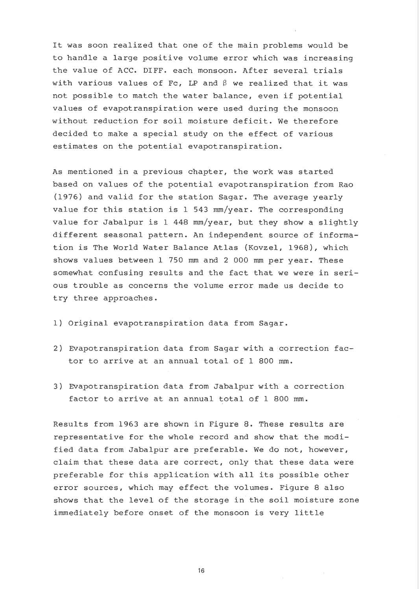It was soon realized that one of the main problems would be to handle a large positive volume error which was increasing the value of ACC. DIFF. each monsoon. After several trials with various values of Fc, LP and  $\beta$  we realized that it was not possible to match the water balance, even if potential values of evapotranspiration were used during the monsoon without reduction for soil moisture deficit. We therefore decided to make a special study on the effect of various estimates on the potential evapotranspiration.

As mentioned in a previous chapter, the work was started based on values of the potential evapotranspiration from Rao (1976) and valid for the station Sagar. The average yearly value for this station is 1 543 mm/year. The corresponding value for Jabalpur is 1 448 mm/year, but they show a slightly different seasonal pattern. An independent source of information is The World Water Balance Atlas (Kovzel, 1968), which shows values between 1 750 mm and 2 000 mm per year. These somewhat confusing results and the fact that we were in serious trouble as concerns the volume error made us decide to try three approaches.

l} Original evapotranspiration data from Sagar.

- 2) Evapotranspiration data from Sagar with a correction factor to arrive at an annual total of 1 800 mm.
- 3) Evapotranspiration data from Jabalpur with a correction factor to arrive at an annual total of 1 800 mm.

Results from 1963 are shown in Figure 8. These results are representative for the whole record and show that the modified data from Jabalpur are preferable. We do not, however, claim that these data are correct, only that these data were preferable for this application with all its possible other error sources, which may effect the volumes. Figure 8 also shows that the level of the storage in the soil moisture zone immediately before onset of the monsoon is very little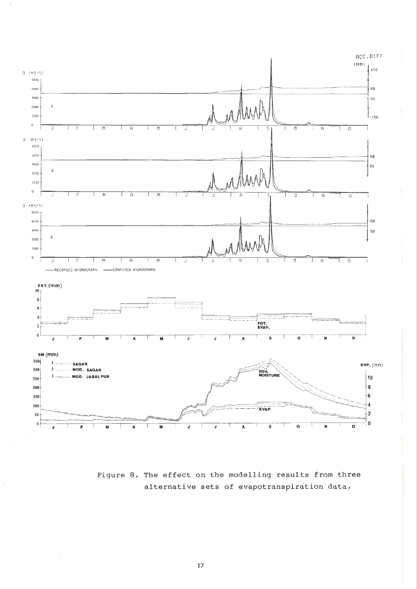

Figure 8. The effect on the modelling results from three alternative sets of evapotranspiration data.

J.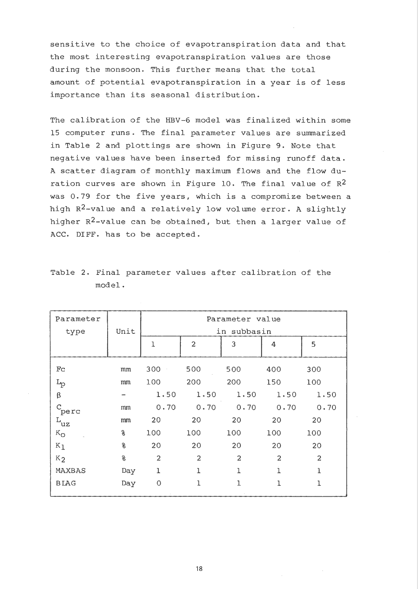sensitive to the choice of evapotranspiration data and that the most interesting evapotranspiration values are those during the monsoon. This further means that the total amount of potential evapotranspiration in a year is of less importance than its seasonal distribution.

The calibration of the HBV-6 model was finalized within some 15 computer runs. The final parameter values are summarized in Table 2 and plottings are shown in Figure 9. Note that negative values have been inserted for missing runoff data. A scatter diagram of monthly maximum flows and the flow duration curves are shown in Figure 10. The final value of  $\mathbb{R}^2$ was 0.79 for the five years, which is a compromize between a high  $R^2$ -value and a relatively low volume error. A slightly higher R<sup>2</sup>-value can be obtained, but then a larger value of ACC. DIFF. has to be accepted .

| Parameter           |      |                   |                | Parameter value |                |                |  |
|---------------------|------|-------------------|----------------|-----------------|----------------|----------------|--|
| type                | Unit |                   | in subbasin    |                 |                |                |  |
|                     |      | $\mathbf 1$       | $\overline{2}$ | 3               | 4              | 5              |  |
| $\rm{Fc}$           | mm   | 300<br>$\epsilon$ | 500            | 500             | 400            | 300            |  |
| $L_{\rm p}$         | mm   | 100               | 200            | 200             | 150            | 100            |  |
| $\beta$             | -    | 1.50              | 1.50           | 1.50            | 1.50           | 1.50           |  |
| $c$ <sub>perc</sub> | mm   | 0.70              | 0.70           | 0.70            | 0.70           | 0.70           |  |
| $L_{uz}$            | mm   | 20                | 20             | 20              | 20             | 20             |  |
| $K_{\mathbf{O}}$    | g    | 100               | 100            | 100             | 100            | 100            |  |
| $\kappa_1$          | g    | 20                | 20             | 20              | 20             | 20             |  |
| $K_{2}$             | g    | $\overline{2}$    | $\overline{2}$ | $\overline{a}$  | $\overline{2}$ | $\overline{2}$ |  |
| <b>MAXBAS</b>       | Day  | 1                 | ı              | ı               | ı              | $\mathbf 1$    |  |
| <b>BLAG</b>         | Day  | $\circ$           | ı              | ı               | ı              | ı              |  |

|  |  |        |  | Table 2. Final parameter values after calibration of the |  |
|--|--|--------|--|----------------------------------------------------------|--|
|  |  | model. |  |                                                          |  |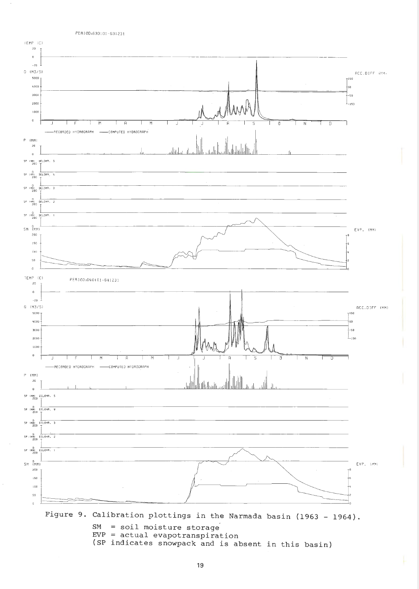

 $fEMP$  (C)



= soil moisture storage  $EVP = actual evapotranspiration$ 

(SP indicates snowpack and is absent in this basin)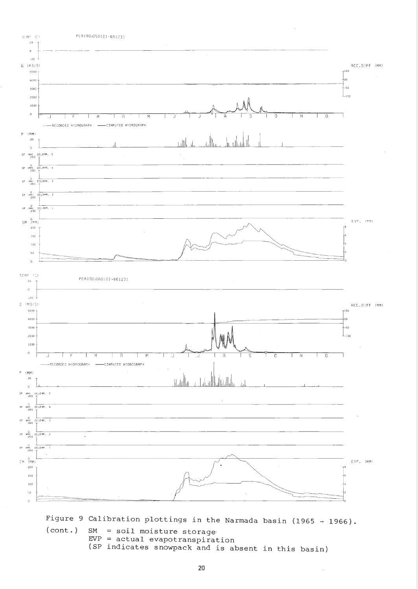

(SP indicates snowpack and is absent in this basin)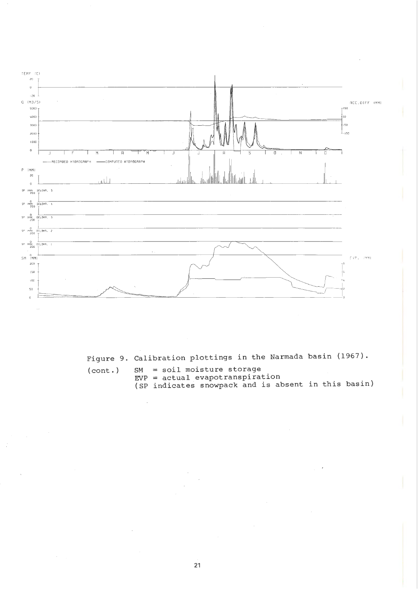

Figure 9. Calibration plottings in the Narmada basin (1967).  $(cont.)$  $SM = soil moisture storage$  $EVP = actual evapotranspiration$ (SP indicates snowpack and is absent in this basin)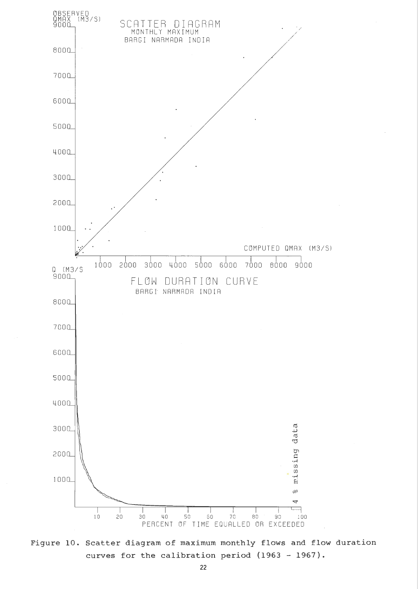

Figure 10. Scatter diagram of maximum monthly flows and flow duration curves for the calibration period (1963 - 1967).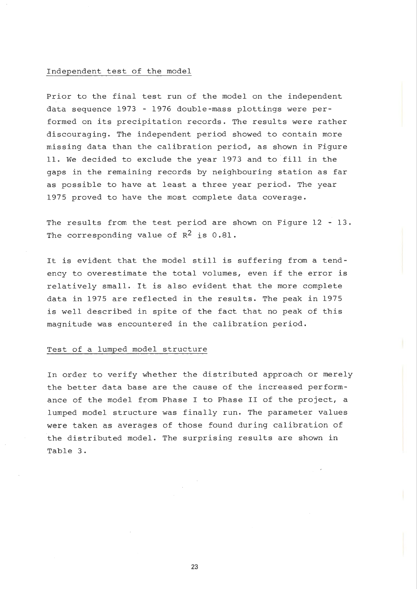#### Independent test of the model

Prior to the final test run of the model on the independent data sequence 1973 - 1976 double-mass plottings were performed on its precipitation records. The results were rather discouraging. The independent period showed to contain more missing data than the calibration period, as shown in Figure 11. We decided to exclude the year 1973 and to fill in the gaps in the remaining records by neighbouring station as far as possible to have at least a three year period. The year 1975 proved to have the most complete data coverage.

The results from the test period are shown on Figure 12 - 13. The corresponding value of  $\mathbb{R}^2$  is 0.81.

It is evident that the model still is suffering from a tendency to overestimate the total volumes, even if the error is relatively small. It is also evident that the more complete data in 1975 are reflected in the results. The peak in 1975 is well described in spite of the fact that no peak of this magnitude was encountered in the calibration period.

#### Test of a lumped model structure

In order to verify whether the distributed approach or merely the better data base are the cause of the increased performance of the model from Phase I to Phase II of the project, a lumped model structure was finally run. The parameter values were taken as averages of those found during calibration of the distributed model. The surprising results are shown in Table 3.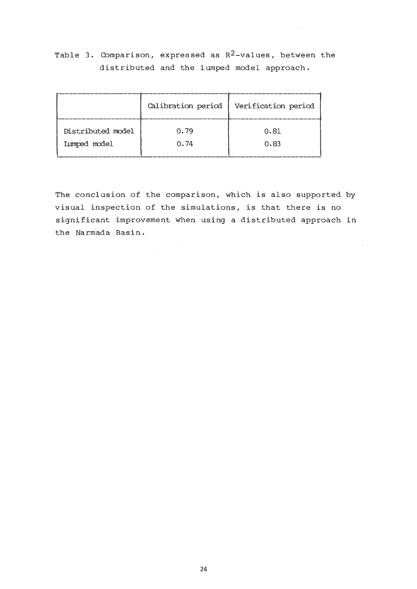# Table 3. Comparison, expressed as R2-values, between the distributed and the lumped model approach.

|                   | Calibration period | Verification period |
|-------------------|--------------------|---------------------|
| Distributed model | 0.79               | 0.81                |
| Lumped model      | 0.74               | 0.83                |

The conclusion of the comparison, which is also supported by visual inspection of the simulations, is that there is no significant improvement when using a distributed approach in the Narmada Basin. ·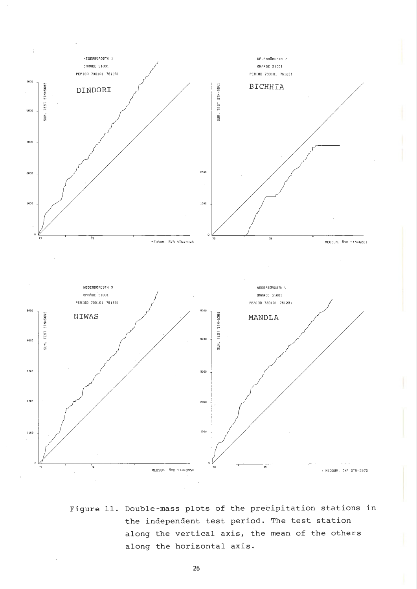

**Figure 11. Double~mass plots of the precipitation stations in the independent test period. The test station along the vertical axis, the mean of the others along the horizontal axis.**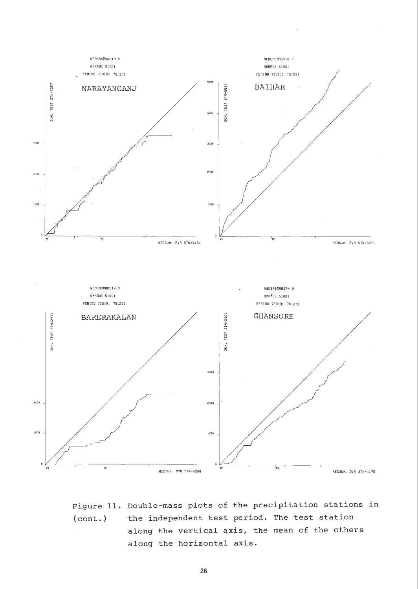

Figure 11. Double-mass plots of the precipitation stations in the independent test period. The test station  $(cont.)$ along the vertical axis, the mean of the others along the horizontal axis.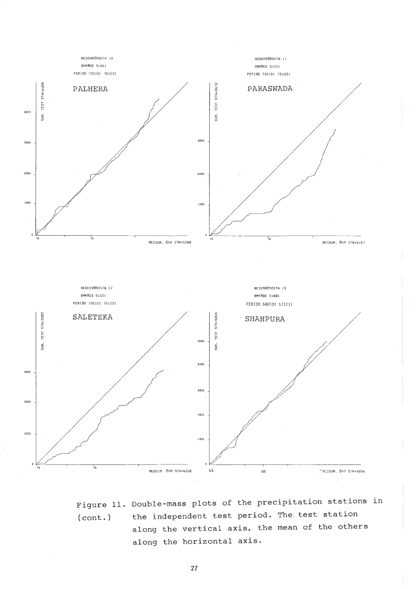

Figure 11. Double-mass plots of the precipitation stations in the independent test period. The test station  $(cont.)$ along the vertical axis, the mean of the others along the horizontal axis.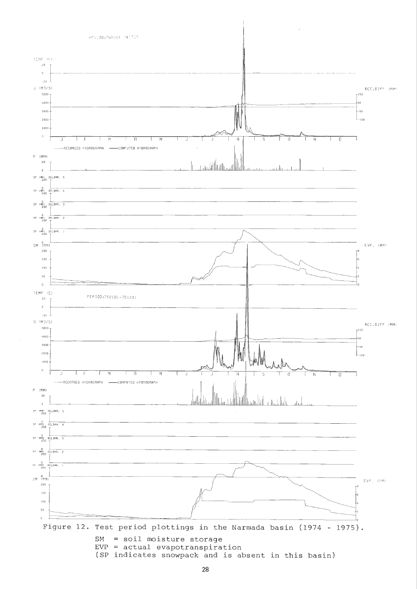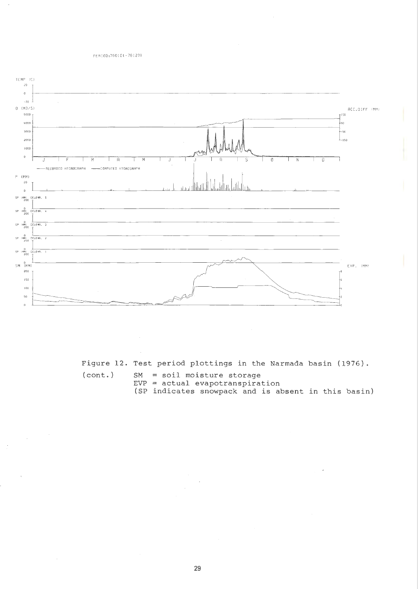PER I 00 , 7GO 101 - 7612 31



**Figure 12 . Test period plottings in the Narmada basin (1976) . (cont . ) SM**  = **soil moisture storage EVP**  = **actual evapotranspiration (SP indicates snowpack and is absent in this basin )**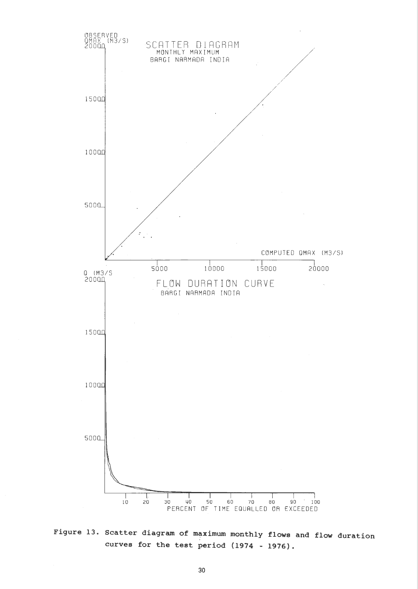

**Figure 13. Scatter diagram of maximum monthly flows and flow duration curves for the test period (1974 - 1976).**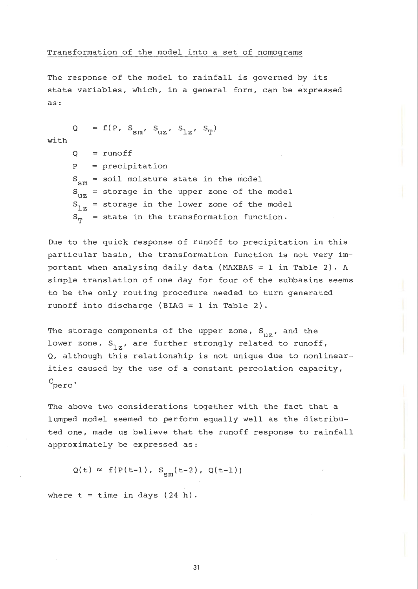The response of the model to rainfall is governed by its state variables, which, in a general form, can be expressed as:

 $Q = f(P, S_{sm}, S_{uz}, S_{1z}, S_T)$ with  $Q = runoff$  $p =$  precipitation  $S_{\text{sm}}$  = soil moisture state in the model  $S_{\text{UZ}}$  = storage in the upper zone of the model  $S_{1z}$  = storage in the lower zone of the model  $S_{\eta}$  = state in the transformation function.

Due to the quick response of runoff to precipitation in this particular basin, the transformation function is not very important when analysing daily data (MAXBAS = 1 in Table 2). A simple translation of one day for four of the subbasins seems to be the only routing procedure needed to turn generated runoff into discharge (BIAG = 1 in Table 2).

The storage components of the upper zone, S<sub>uz</sub>, and the lower zone,  $S_{17}$ , are further strongly related to runoff, Q, although this relationship is not unique due to nonlinearities caused by the use of a constant percolation capacity, C<br>perc'

The above two considerations together with the fact that a lumped model seemed to perform equally well as the distributed one, made us believe that the runoff response to rainfall approximately be expressed as:

$$
Q(t) \approx f(P(t-1), S_{sm}(t-2), Q(t-1))
$$

where  $t =$  time in days  $(24 h)$ .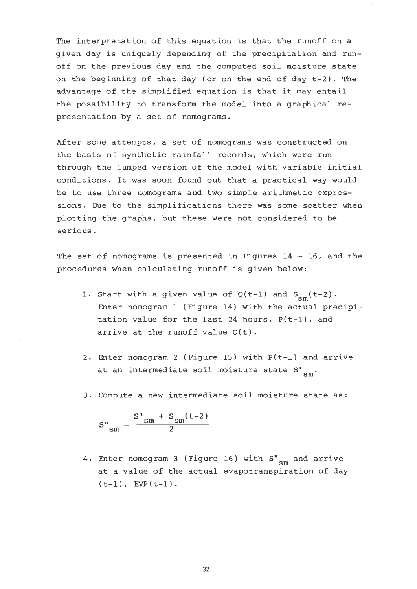The interpretation of this equation is that the runoff on a given day is uniquely depending of the precipitation and runoff on the previous day and the computed soil moisture state on the beginning of that day (or on the end of day t-2). The advantage of the simplified equation is that it may entail the possibility to transform the model into a graphical representation by a set of nomograms.

After some attempts, a set of nomograms was constructed on the basis of synthetic rainfall records, which were run through the lumped version of the model with variable initial conditions. It was soon found out that a practical way would be to use three nomograms and two simple arithmetic expressions. Due to the simplifications there was some scatter when plotting the graphs, but these were not considered to be serious.

The set of nomograms is presented in Figures 14 - 16, and the procedures when calculating runoff is given below:

- 1. Start with a given value of  $Q(t-1)$  and  $S_{sm}(t-2)$ . Enter nomogram 1 (Figure 14) with the actual precipitation value for the last 24 hours,  $P(t-1)$ , and arrive at the runoff value  $Q(t)$ .
- 2. Enter nomogram 2 (Figure 15) with P(t-1) and arrive at an intermediate soil moisture state S' $_{\texttt{sm}}^{\text{}}$
- 3. Compute a new intermediate soil moisture state as:

$$
S''_{sm} = \frac{S'_{sm} + S_{sm}(t-2)}{2}
$$

4. Enter nomogram 3 (Figure 16) with S"<sub>sm</sub> and arrive at a value of the actual evapotranspiration of day  $(t-1)$ , EVP $(t-1)$ .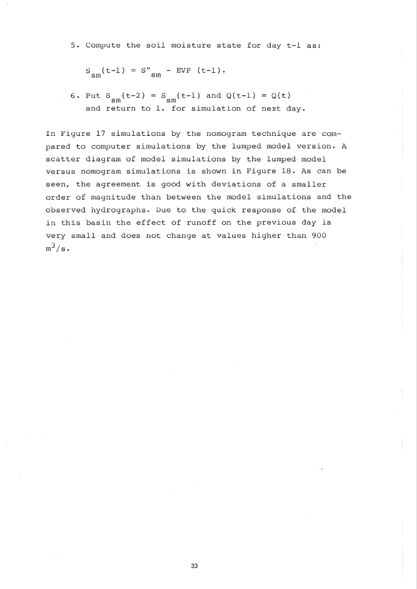5. Compute the soil moisture state for day t-1 as:

 $S_{\text{sm}}(t-1) = S''_{\text{sm}} - EVP (t-1).$ 

6. Put  $S_{\text{sm}}(t-2) = S_{\text{sm}}(t-1)$  and  $Q(t-1) = Q(t)$ and return to 1. for simulation of next day.

In Figure 17 simulations by the nomogram technique are compared to computer simulations by the lumped model version. A scatter diagram of model simulations by the lumped model versus nomogram simulations is shown in Figure 18. As can be seen, the agreement is good with deviations of a smaller order of magnitude than between the model simulations and the observed hydrographs. Due to the quick response of the model in this basin the effect of runoff on the previous day is very small and does not change at values higher than 900  $m^3/s$ .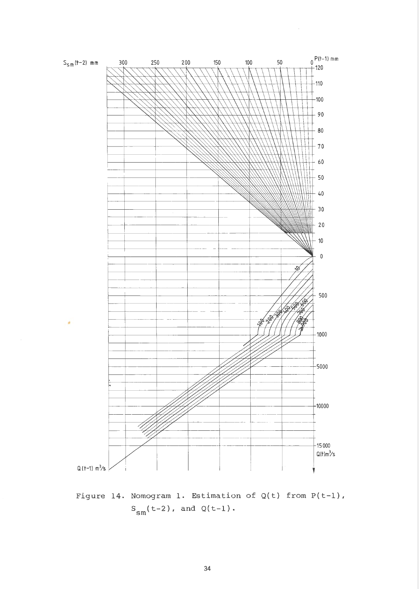

Figure 14. Nomogram 1. Estimation of  $Q(t)$  from  $P(t-1)$ ,  $S_{\text{sm}}(t-2)$ , and  $Q(t-1)$ .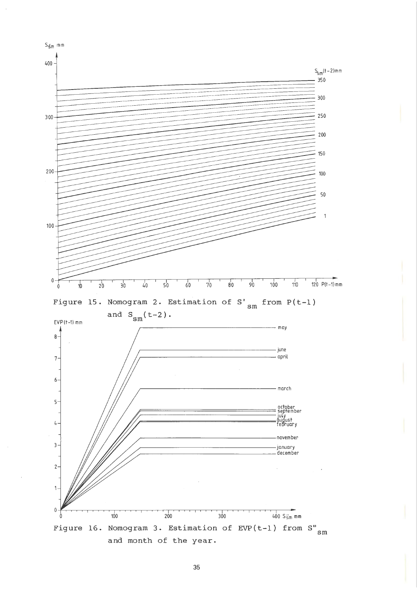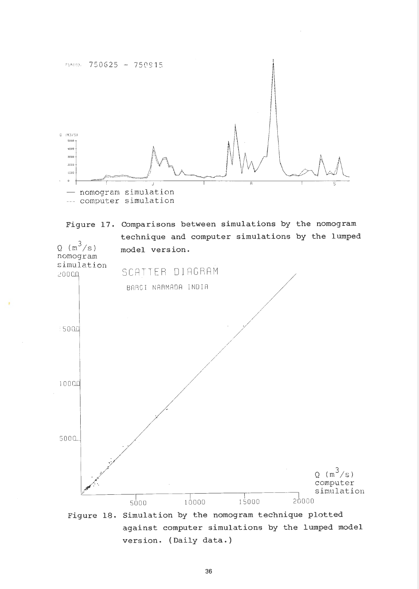





**Figure 18. Simulation by the nomogram technique plotted against computer simulations by the lumped model version. (Daily data.)**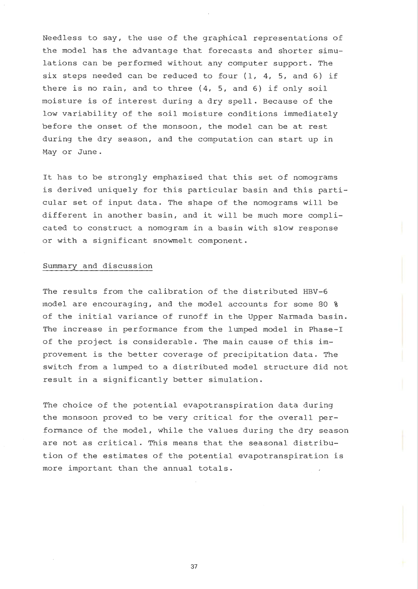Needless to say, the use of the graphical representations of the model has the advantage that forecasts and shorter simulations can be performed without any computer support. The six steps needed can be reduced to four (1, 4, 5, and 6) if there is no rain, and to three (4, 5, and 6) if only soil moisture is of interest during a dry spell. Because of the low variability of the soil moisture conditions immediately before the onset of the monsoon, the model can be at rest during the dry season, and the computation can start up in May or June.

It has to be strongly emphazised that this set of nomograms is derived uniquely for this particular basin and this particular set of input data. The shape of the nomograms will be different in another basin, and it will be much more complicated to construct a nomogram in abasin with slow response or with a significant snowmelt component.

#### Summary and discussion

The results from the calibration of the distributed HBV-6 model are encouraging, and the model accounts for some 80 % of the initial variance of runoff in the Upper Narmada basin. The increase in performance from the lumped model in Phase-I of the project is considerable. The main cause of this improvement is the better coverage of precipitation data. The switch from a lumped to a distributed model structure did not result in a significantly better simulation.

The choice of the potential evapotranspiration data during the monsoon proved to be very critical for the overall performance of the model, while the values during the dry season are not as critical. This means that the seasonal distribution of the estimates of the potential evapotranspiration is more important than the annual totals.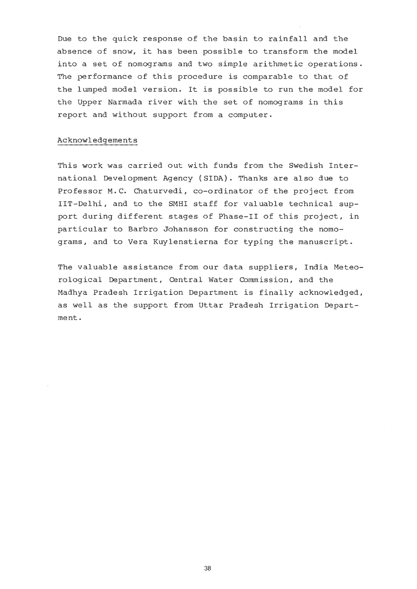Due to the quick response of the basin to rainfall and the absence of snow, it has been possible to transform the model into a set of nomograms and two simple arithmetic operations. The performance of this procedure is comparable to that of the lumped model version. It is possible to run the model for the Upper Narmada river with the set of nomograms in this report and without support from a computer.

#### Acknowledgements

This work was carried out with funds from the Swedish International Development Agency (SIDA). Thanks are also due to Professor M.C. Chaturvedi, co-ordinator of the project from IIT-Delhi, and to the SMHI staff for valuable technical support during different stages of Phase-II of this project, in particular to Barbro Johansson for constructing the nomograms, and to Vera Kuylenstierna for typing the manuscript.

The valuable assistance from our data suppliers, India Meteorological Department, Central Water Commission, and the Madhya Pradesh Irrigation Department is finally acknowledged, as well as the support from Uttar Pradesh Irrigation Department.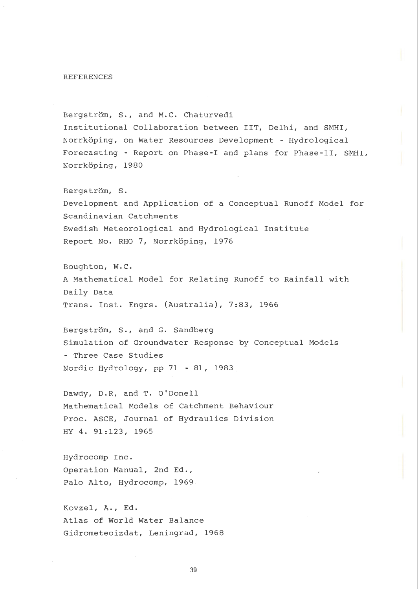#### REFERENCES

Bergström, s., and M.C. Chaturvedi Institutional Collaboration between IIT, Delhi, and SMHI, Norrköping, on Water Resources Development - Hydrological Forecasting - Report on Phase-1 and plans for Phase-II, SMHI, Norrköping, 1980

Bergström, s. Development and Application of a Conceptual Runoff Model for Scandinavian Catchments Swedish Meteorological and Hydrological Institute Report No. RHO 7, Norrköping, 1976

Boughton, w.c. A Mathematical Model for Relating Runoff to Rainfall with Daily Data Trans. Inst. Engrs. (Australia), 7:83, 1966

Bergström, s., and G. Sandberg Simulation of Groundwater Response by Conceptual Models - Three Case Studies Nordic Hydrology, pp 71 - 81, 1983

Dawdy, D.R, and T. O'Donell Mathematical Models of Catchment Behaviour Proc. ASCE, Journal of Hydraulics Division HY 4. 91:123, 1965

Hydrocomp Inc. Operation Manual, 2nd Ed., Palo Alto, Hydrocomp, 1969.

Kovzel, A., Ed. Atlas of World Water Balance Gidrometeoizdat, Leningrad, 1968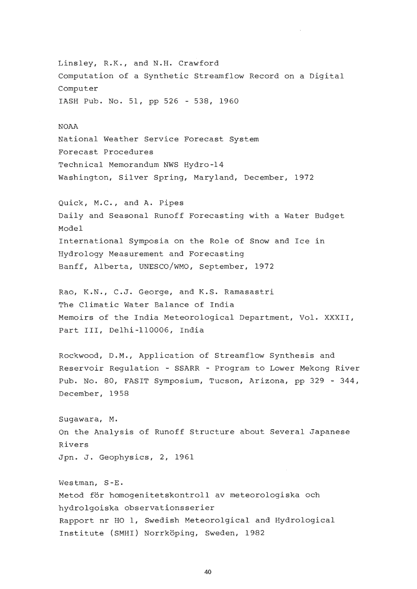Linsley, R.K., and N.H. Crawford Computation of a Synthetic Streamflow Record on a Digital Computer IASH Pub. No. 51, pp 526 - 538, 1960

#### NOAA

National Weather Service Forecast System Forecast Procedures Technical Memorandum NWS Hydro-14 Washington, Silver Spring, Maryland, December, 1972

Quick, M.C., and A. Pipes Daily and Seasonal Runoff Forecasting with a Water Budget Model International Symposia on the Role of Snow and Ice in Hydrology Measurement and Forecasting Banff, Alberta, UNESCO/WMO, September, 1972

Rao, K.N. , C.J. George, and K. S. Ramasastri The Climatic Water Balance of India Memoirs of the India Meteorological Department, Vol. XXXII, Part III, Delhi-110006, India

Rockwood, D.M., Application of Streamflow Synthesis and Reservoir Regulation - SSARR - Program to Lower Mekong River Pub. No. 80, FASIT Symposium, Tucson, Arizona, pp 329 - 344, December, 1958

Sugawara, M. On the Analysis of Runoff Structure about Several Japanese Rivers Jpn. J. Geophysics, 2, 1961

Westman, S-E. Metod för homogenitetskontroll av meteorologiska och hydrolgoiska observationsserier Rapport nr HO 1, Swedish Meteorolgical and Hydrological Institute (SMHI) Norrköping, Sweden, 1982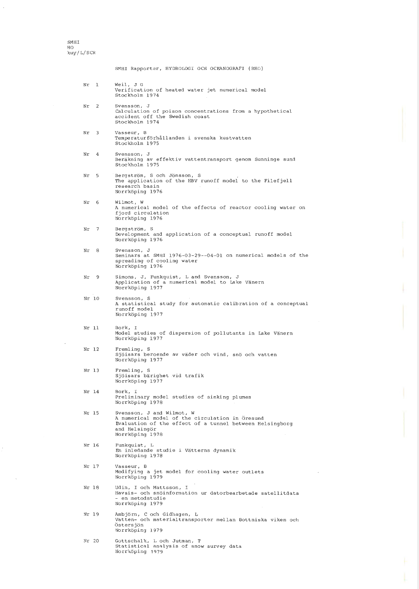|       |              | SMHI Rapporter, HYDROLOGI OCH OCEANOGRAFI (RHO)                                                                                                                              |
|-------|--------------|------------------------------------------------------------------------------------------------------------------------------------------------------------------------------|
| Νr    | $\mathbf{1}$ | Weil, J G<br>Verification of heated water jet numerical model<br>Stockholm 1974                                                                                              |
| Νr    | 2            | Svensson, J<br>Calculation of poison concentrations from a hypothetical<br>accident off the Swedish coast<br>Stockholm 1974                                                  |
| Nr.   | 3            | Vasseur, B<br>Temperaturförhållanden i svenska kustvatten<br>Stockholm 1975                                                                                                  |
| Nr    | 4            | Svensson, J<br>Beräkning av effektiv vattentransport genom Sunninge sund<br>Stockholm 1975                                                                                   |
| Nr.   | 5            | Bergström, S och Jönsson, S<br>The application of the HBV runoff model to the Filefjell<br>research basin<br>Norrköping 1976                                                 |
| Nr 6  |              | Wilmot, W<br>A numerical model of the effects of reactor cooling water on<br>fjord circulation<br>Norrköping 1976                                                            |
| Νr    | 7            | Bergström, S<br>Development and application of a conceptual runoff model<br>Norrköping 1976                                                                                  |
| Νr    | 8            | Svensson, J<br>Seminars at SMHI 1976-03-29--04-01 on numerical models of the<br>spreading of cooling water<br>Norrköping 1976                                                |
| Nr    | - 9          | Simons, J, Funkquist, L and Svensson, J<br>Application of a numerical model to Lake Vänern<br>Norrköping 1977                                                                |
| Nr 10 |              | Svensson, S<br>A statistical study for automatic calibration of a conceptual<br>runoff model<br>Norrköping 1977                                                              |
| Nr 11 |              | Bork, I<br>Model studies of dispersion of pollutants in Lake Vänern<br>Norrköping 1977                                                                                       |
| Nr 12 |              | Fremling, S<br>Sjöisars beroende av väder och vind, snö och vatten<br>Norrköping 1977                                                                                        |
| Nr 13 |              | Fremling, S<br>Sjöisars bärighet vid trafik<br>Norrköping 1977                                                                                                               |
| Nr 14 |              | Bork, I<br>Preliminary model studies of sinking plumes<br>Norrköping 1978                                                                                                    |
| Nr 15 |              | Svensson, J and Wilmot, W<br>A numerical model of the circulation in Öresund<br>Evaluation of the effect of a tunnel between Helsingborg<br>and Helsingör<br>Norrköping 1978 |
| Nr 16 |              | Funkquist, L<br>En inledande studie i Vätterns dynamik<br>Norrköping 1978                                                                                                    |
| Nr 17 |              | Vasseur, B<br>Modifying a jet model for cooling water outlets<br>Norrköping 1979                                                                                             |
| Nr 18 |              | Udin, I och Mattsson, I<br>Havsis- och snöinformation ur datorbearbetade satellitdata<br>– en metodstudie<br>Norrköping 1979                                                 |
| Nr 19 |              | Ambjörn, C och Gidhagen, L<br>Vatten- och materialtransporter mellan Bottniska viken och<br>Östersjön<br>Norrköping 1979                                                     |
| Nr 20 |              | Gottschalk, L och Jutman, T<br>Statistical analysis of snow survey data<br>Norrköping 1979                                                                                   |

 $\sim$ 

 $\bar{\beta}$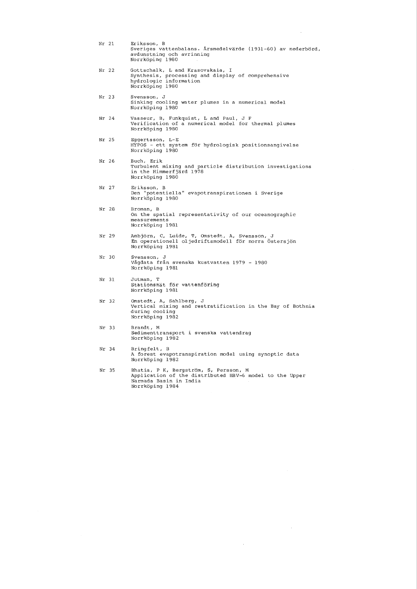| Nr 21   |         | Eriksson, B<br>Sveriges vattenbalans. Årsmedelvärde (1931-60) av nederbörd,<br>avdunstning och avrinning<br>Norrköping 1980                   |
|---------|---------|-----------------------------------------------------------------------------------------------------------------------------------------------|
| $Nr$ 22 |         | Gottschalk, L and Krasovskaia, I<br>Synthesis, processing and display of comprehensive<br>hydrologic information<br>Norrköping 1980           |
| $Nr$ 23 |         | Svensson, J<br>Sinking cooling water plumes in a numerical model<br>Norrköping 1980                                                           |
| $Nr$ 24 |         | Vasseur, B, Funkquist, L and Paul, J F<br>Verification of a numerical model for thermal plumes<br>Norrköping 1980                             |
| Nr 25   |         | Eggertsson, L-E<br>HYPOS - ett system för hydrologisk positionsangivelse<br>Norrköping 1980                                                   |
| Nr 26   |         | Buch, Erik<br>Turbulent mixing and particle distribution investigations<br>in the Himmerfjärd 1978<br>Norrköping 1980                         |
| Nr 27   |         | Eriksson, B<br>Den "potentiella" evapotranspirationen i Sverige<br>Norrköping 1980                                                            |
|         | Nr 28   | Broman, B<br>On the spatial representativity of our oceanographic<br>measurements<br>Norrköping 1981                                          |
| Nr 29   |         | Ambjörn, C, Luide, T, Omstedt, A, Svensson, J<br>En operationell oljedriftsmodell för norra Östersjön<br>Norrköping 1981                      |
|         | Nr 30   | Svensson, J<br>Vågdata från svenska kustvatten 1979 – 1980<br>Norrköping 1981                                                                 |
|         | Nr 31   | Jutman, T<br>Stationsnät för vattenföring<br>Norrköping 1981                                                                                  |
|         | $Nr$ 32 | Omstedt, A, Sahlberg, J<br>Vertical mixing and restratification in the Bay of Bothnia<br>during cooling<br>Norrköping 1982                    |
|         | Nr 33   | Brandt, M<br>Sedimenttransport i svenska vattendrag<br>Norrköping 1982                                                                        |
|         | Nr 34   | Bringfelt, B<br>A forest evapotranspiration model using synoptic data<br>Norrköping 1982                                                      |
|         | Nr 35   | Bhatia, P K, Bergström, S, Persson, M<br>Application of the distributed HBV-6 model to the Upper<br>Narmada Basin in India<br>Norrköping 1984 |

 $\label{eq:2.1} \frac{1}{\sqrt{2}}\left(\frac{1}{\sqrt{2}}\right)^{2} \left(\frac{1}{\sqrt{2}}\right)^{2} \left(\frac{1}{\sqrt{2}}\right)^{2} \left(\frac{1}{\sqrt{2}}\right)^{2} \left(\frac{1}{\sqrt{2}}\right)^{2} \left(\frac{1}{\sqrt{2}}\right)^{2} \left(\frac{1}{\sqrt{2}}\right)^{2} \left(\frac{1}{\sqrt{2}}\right)^{2} \left(\frac{1}{\sqrt{2}}\right)^{2} \left(\frac{1}{\sqrt{2}}\right)^{2} \left(\frac{1}{\sqrt{2}}\right)^{2} \left(\$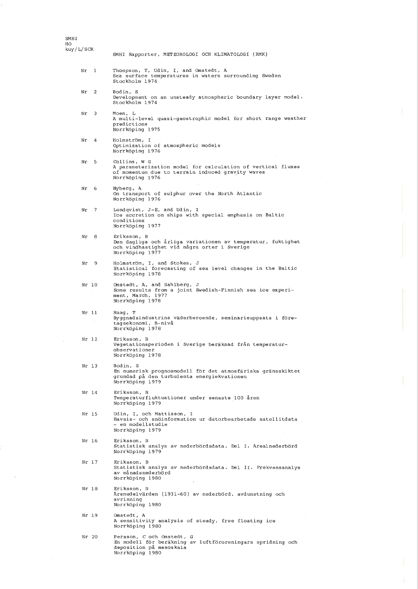| SMHI<br>HO<br>kuy/L/SCR |                |                                                                                                                                                    |
|-------------------------|----------------|----------------------------------------------------------------------------------------------------------------------------------------------------|
|                         |                | SMHI Rapporter, METEOROLOGI OCH KLIMATOLOGI (RMK)                                                                                                  |
| Nr                      | $\mathbf{1}$   | Thompson, T, Udin, I, and Omstedt, A<br>Sea surface temperatures in waters surrounding Sweden<br>Stockholm 1974                                    |
| Nr                      | 2              | Bodin, S<br>Development on an unsteady atmospheric boundary layer model.<br>Stockholm 1974                                                         |
| Nr                      | $_{3}$         | Moen, L<br>A multi-level quasi-geostrophic model for short range weather<br>predictions<br>Norrköping 1975                                         |
| Νr                      | 4              | Holmström, I<br>Optimization of atmospheric models<br>Norrköping 1976                                                                              |
| Nr                      | 5              | Collins, W G<br>A parameterization model for calculation of vertical fluxes<br>of momentum due to terrain induced gravity waves<br>Norrköping 1976 |
| Nr                      | 6              | Nyberg, A<br>On transport of sulphur over the North Atlantic<br>Norrköping 1976                                                                    |
| Nr                      | $\overline{7}$ | Lundqvist, J-E, and Udin, I<br>Ice accretion on ships with special emphasis on Baltic<br>conditions<br>Norrköping 1977                             |
| Nr                      | - 8            | Eriksson, B<br>Den dagliga och årliga variationen av temperatur, fuktighet<br>och vindhastighet vid några orter i Sverige<br>Norrköping 1977       |
| Nr                      | - 9            | Holmström, I, and Stokes, J<br>Statistical forecasting of sea level changes in the Baltic<br>Norrköping 1978                                       |
| Nr 10                   |                | Omstedt, A, and Sahlberg, J<br>Some results from a joint Swedish-Finnish sea ice experi-<br>ment, March, 1977<br>Norrköping 1978                   |
| $Nr$ 11                 |                | Haag, T<br>Byggnadsindustrins väderberoende, seminarieuppsats i före-<br>taqsekonomi, B-nivă<br>Norrköping 1978                                    |
| Nr <sub>12</sub>        |                | Eriksson, B<br>Vegetationsperioden i Sverige beräknad från temperatur-<br>observationer<br>Norrköping 1978                                         |
|                         | Nr 13          | Bodin, S<br>En numerisk prognosmodell för det atmosfäriska gränsskiktet<br>grundad på den turbulenta energiekvationen<br>Norrköping 1979           |
|                         | Nr 14          | Eriksson, B<br>Temperaturfluktuationer under senaste 100 åren<br>Norrköping 1979                                                                   |
| Nr 15                   |                | Udin, I, och Mattisson, I<br>Havsis- och snöinformation ur datorbearbetade satellitdata<br>- en modellstudie<br>Norrköping 1979                    |
|                         | Nr 16          | Eriksson, B<br>Statistisk analys av nederbördsdata. Del I. Arealnederbörd<br>Norrköping 1979                                                       |
|                         | $Nr$ 17        | Eriksson, B<br>Statistisk analys av nederbördsdata. Del II. Frekvensanalys<br>av månadsnederbörd<br>Norrköping 1980                                |
|                         | Nr 18          | Eriksson, B<br>Årsmedelvärden (1931–60) av nederbörd, avdunstning och<br>avrinning<br>Norrköping 1980                                              |
|                         | Nr 19          | Omstedt, A<br>A sensitivity analysis of steady, free floating ice<br>Norrköping 1980                                                               |
|                         | Nr 20          | Persson, C och Omstedt, G<br>En modell för beräkning av luftföroreningars spridning och<br>deposition på mesoskala<br>Norrköping 1980              |

 $\bar{\beta}$ 

 $\overline{\phantom{a}}$ 

 $\bar{z}$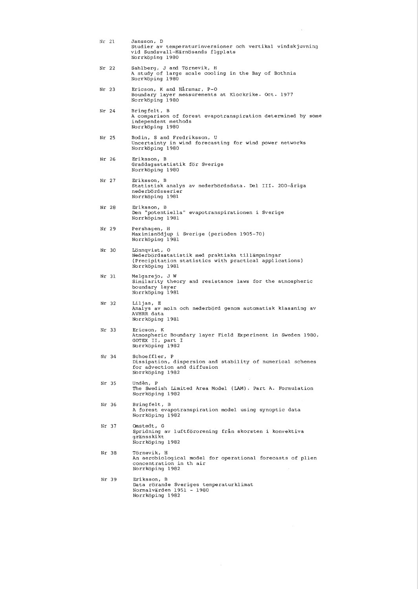| Nr 21 |         | Jansson, D<br>Studier av temperaturinversioner och vertikal vindskjuvning<br>vid Sundsvall-Härnösands flgplats<br>Norrköping 1980            |
|-------|---------|----------------------------------------------------------------------------------------------------------------------------------------------|
| Nr 22 |         | Sahlberg, J and Törnevik, H<br>A study of large scale cooling in the Bay of Bothnia<br>Norrköping 1980                                       |
| Nr 23 |         | Ericson, K and Hårsmar, P-O<br>Boundary layer measurements at Klockrike. Oct. 1977<br>Norrköping 1980                                        |
| Nr 24 |         | Bringfelt, B<br>A comparison of forest evapotranspiration determined by some<br>independent methods<br>Norrköping 1980                       |
| Nr 25 |         | Bodin, S and Fredriksson, U<br>Uncertainty in wind forecasting for wind power networks<br>Norrköping 1980                                    |
| Nr 26 |         | Eriksson, B<br>Graddagsstatistik för Sverige<br>Norrköping 1980                                                                              |
| Nr 27 |         | Eriksson, B<br>Statistisk analys av nederbördsdata. Del III. 200-åriga<br>nederbördsserier<br>Norrköping 1981                                |
|       | Nr 28   | Eriksson, B<br>Den "potentiella" evapotranspirationen i Sverige<br>Norrköping 1981                                                           |
|       | Nr 29   | Pershagen, H<br>Maximisnödjup i Sverige (perioden 1905–70)<br>Norrköping 1981                                                                |
|       | Nr 30   | Lönnqvist, O<br>Nederbördsstatistik med praktiska tillämpningar<br>(Precipitation statistics with practical applications)<br>Norrköping 1981 |
|       | Nr 31   | Melgarejo, J W<br>Similarity theory and resistance laws for the atmospheric<br>boundary layer<br>Norrköping 1981                             |
|       | Nr 32   | Liljas, E<br>Analys av moln och nederbörd genom automatisk klassning av<br>AVHRR data<br>Norrköping 1981                                     |
|       | $Nr$ 33 | Ericson, K<br>Atmospheric Boundary layer Field Experiment in Sweden 1980,<br>GOTEX II, part I<br>Norrköping 1982                             |
|       | $Nr$ 34 | Schoeffler, P<br>Dissipation, dispersion and stability of numerical schemes<br>for advection and diffusion<br>Norrköping 1982                |
|       | Nr 35   | Undén, P<br>The Swedish Limited Area Model (LAM). Part A. Formulation<br>Norrköping 1982                                                     |
|       | Nr 36   | Bringfelt, B<br>A forest evapotranspiration model using synoptic data<br>Norrköping 1982                                                     |
|       | Nr 37   | Omstedt, G<br>Spridning av luftförorening från skorsten i konvektiva<br>gränsskikt<br>Norrköping 1982                                        |
|       | Nr 38   | Törnevik, H<br>An aerobiological model for operational forecasts of plien<br>concentration in th air<br>Norrköping 1982                      |
|       | Nr 39   | Eriksson, B<br>Data rörande Sveriges temperaturklimat<br>Normalvärden 1951 – 1980<br>Norrköping 1982                                         |

 $\label{eq:2.1} \frac{1}{\sqrt{2}}\left(\frac{1}{\sqrt{2}}\right)^{2} \left(\frac{1}{\sqrt{2}}\right)^{2} \left(\frac{1}{\sqrt{2}}\right)^{2} \left(\frac{1}{\sqrt{2}}\right)^{2} \left(\frac{1}{\sqrt{2}}\right)^{2} \left(\frac{1}{\sqrt{2}}\right)^{2} \left(\frac{1}{\sqrt{2}}\right)^{2} \left(\frac{1}{\sqrt{2}}\right)^{2} \left(\frac{1}{\sqrt{2}}\right)^{2} \left(\frac{1}{\sqrt{2}}\right)^{2} \left(\frac{1}{\sqrt{2}}\right)^{2} \left(\$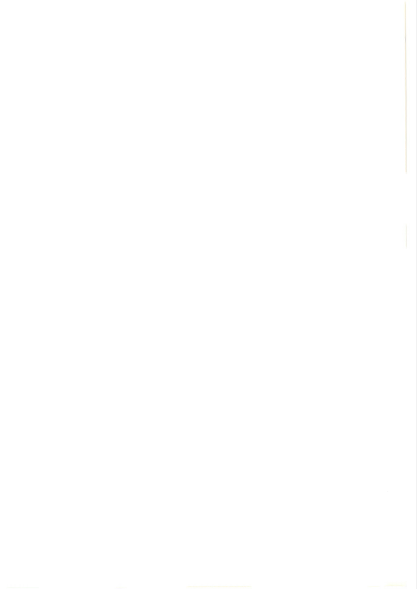$\mathcal{L}^{\text{max}}_{\text{max}}$  ,  $\mathcal{L}^{\text{max}}_{\text{max}}$